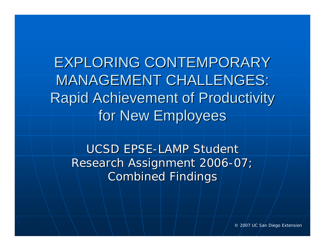EXPLORING CONTEMPORARY **MANAGEMENT CHALLENGES:** Rapid Achievement of Productivity Rapid Achievement of Productivity for New Employees

UCSD EPSE-LAMP Student Research Assignment 2006-07; **Combined Findings** 

© 2007 UC San Diego Extension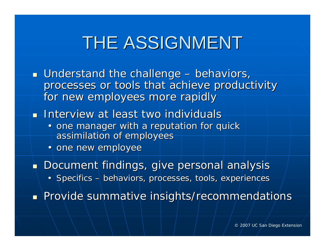#### THE ASSIGNMENT

- $\blacksquare$  Understand the challenge – behaviors, processes or tools that achieve productivity for new employees more rapidly
- **Interview at least two individuals** 
	- one manager with a reputation for quick assimilation of employees
	- one new employee
- $\blacksquare$  Document findings, give personal analysis
	- Specifics  $-$  behaviors, processes, tools, experiences

Provide summative insights/recommendations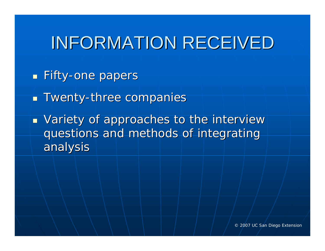#### INFORMATION RECEIVED

- **Eifty-one papers**
- **Twenty-three companies**
- $\overline{\phantom{a}}$ **DETE:** Variety of approaches to the interview questions and methods of integrating analysis analysis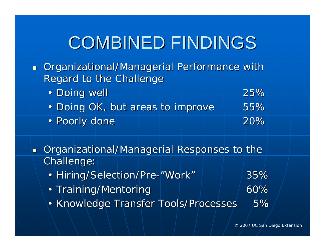- **Dimergian Organizational/Managerial Performance with** Regard to the Challenge
	- $\bullet$  Doing well  $\qquad \qquad \overline{\phantom{a}25\%}$ • Doing OK, but areas to improve | 55% • Poorly done Poorly done Poorly and Poorly done Poorly 20%
- $\blacksquare$ Organizational/Managerial Responses to the Challenge: Challenge:
	- Hiring/Selection/Pre - "Work "
	- Training/Mentoring | | | | 60%
	- Knowledge Transfer Tools/Processes 5%

35%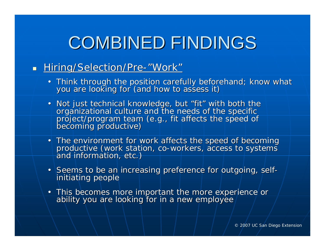#### **Hiring/Selection/Pre** ب - "Work "

- Think through the position carefully beforehand; know what you are looking for (and how to assess it)
- . Not just technical knowledge, but "fit" with both the organizational culture and the needs of the specific<br>project/program team (e.g., fit affects the speed of<br>becoming productive)
- The environment for work affeproductive (work station, co-workers, access to systems<br>and information, etc.)
- Seems to be an increasing preference for outgoing, self-<br>initiating people
- This becomes more important the more experience or ability you are looking for in a new employee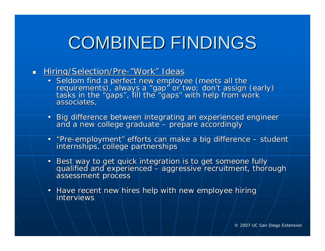#### $\blacksquare$ Hiring/Selection/Pre-"Work" Ideas

- Seldom find a perfect new employee (meets all the<br>requirements), always a "gap" or two; don't assign (early)<br>tasks in the "gaps", fill the "gaps" with help from work<br>associates,
- Big difference between integrating an experienced engineer<br>and a new college graduate prepare accordingly – prepare accordingly
- "Pre-employment" efforts can make a big difference student internships, college partnerships
- Best way to get quick integration is to get someone fully qualified and experienced aggressive recruitment, thord – aggressive recruitment, thorough assessment process
- Have recent new hires help with new employee hiring interviews interviews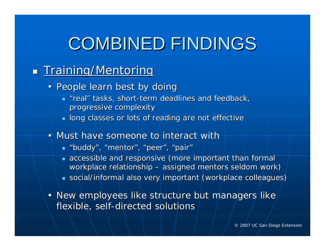#### $\mathbb{R}^2$ n Training/Mentoring Training

- People learn best by doing
	- $\blacksquare$  "real" tasks, short-term deadlines and feedback, progressive complexity progressive complexity
	- $\blacksquare$  long classes or lots of reading are not effective
- Must have someone to interact with
	- "buddy", "mentor", "peer", "pair"
	- **accessible and responsive (more important than formal** workplace relationship - $-$  assigned mentors seldom work)
	- $\,$  social/informal also very important (workplace colleagues)
- New employees like structure but managers like flexible, self-directed solutions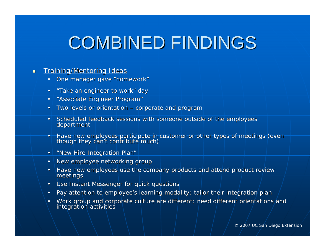#### $\blacksquare$ **Training/Mentoring Ideas**

- •One manager gave "homework"
- •"Take an engineer to work" day
- •"Associate Engineer Program"
- •• Two levels or orientation – corporate and program
- •Scheduled feedback sessions with someone outside of the employees department
- •• Have new employees participate in customer or other types of meetings (even though they can't contribute much)
- •"New Hire Integration Plan"
- •New employee networking group
- •Have new employees use the company products and attend product review meetings
- •Use Instant Messenger for quick questions
- •Pay attention to employee's learning modality; tailor their integration plan
- •Work group and corporate culture are different; need different orientations and integration activities